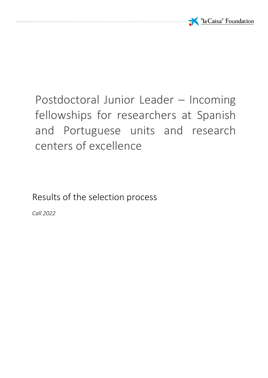

# Postdoctoral Junior Leader – Incoming fellowships for researchers at Spanish and Portuguese units and research centers of excellence

Results of the selection process

*Call 2022*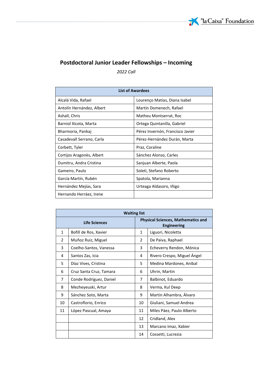

# **Postdoctoral Junior Leader Fellowships – Incoming**

*2022 Call*

| <b>List of Awardees</b>   |                                  |  |  |
|---------------------------|----------------------------------|--|--|
| Alcalá Vida, Rafael       | Lourenço Matias, Diana Isabel    |  |  |
| Antolín Hernández, Albert | Martín Domenech, Rafael          |  |  |
| Ashall, Chris             | Matheu Montserrat, Roc           |  |  |
| Barniol Xicota, Marta     | Ortega Quintanilla, Gabriel      |  |  |
| Bharmoria, Pankaj         | Pérez Invernón, Francisco Javier |  |  |
| Casadevall Serrano, Carla | Pérez-Hernández Durán, Marta     |  |  |
| Corbett, Tyler            | Praz, Coraline                   |  |  |
| Cortijos Aragonès, Albert | Sánchez Alonso, Carles           |  |  |
| Dumitru, Andra Cristina   | Sanjuan Alberte, Paola           |  |  |
| Gameiro, Paulo            | Soleti, Stefano Roberto          |  |  |
| García Martín, Rubén      | Spatola, Marianna                |  |  |
| Hernández Mejías, Sara    | Urteaga Aldasoro, Iñigo          |  |  |
| Hernando Herráez, Irene   |                                  |  |  |

| <b>Waiting list</b> |                         |                                                                 |                             |  |
|---------------------|-------------------------|-----------------------------------------------------------------|-----------------------------|--|
|                     | Life Sciences           | <b>Physical Sciences, Mathematics and</b><br><b>Engineering</b> |                             |  |
| $\mathbf{1}$        | Bofill de Ros, Xavier   | $\mathbf{1}$                                                    | Liguori, Nicoletta          |  |
| $\overline{2}$      | Muñoz Ruiz, Miguel      | 2                                                               | De Paiva, Raphael           |  |
| 3                   | Coelho-Santos, Vanessa  | 3                                                               | Echeverry Rendon, Mónica    |  |
| 4                   | Santos Zas, Icia        | 4                                                               | Rivero Crespo, Miguel Angel |  |
| 5                   | Díaz Vives, Cristina    | 5                                                               | Medina Mardones, Anibal     |  |
| 6                   | Cruz Santa Cruz, Tamara | 6                                                               | Uhrin, Martin               |  |
| $\overline{7}$      | Conde Rodríguez, Daniel | 7                                                               | Balbinot, Eduardo           |  |
| 8                   | Mezheyeuski, Artur      | 8                                                               | Verma, Kul Deep             |  |
| 9                   | Sánchez Soto, Marta     | 9                                                               | Martín Alhambra, Álvaro     |  |
| 10                  | Castroflorio, Enrico    | 10                                                              | Giuliani, Samuel Andrea     |  |
| 11                  | López Pascual, Amaya    | 11                                                              | Miles Páez, Paulo Alberto   |  |
|                     |                         | 12                                                              | Cridland, Alex              |  |
|                     |                         | 13                                                              | Marcano Imaz, Xabier        |  |
|                     |                         | 14                                                              | Cossetti, Lucrezia          |  |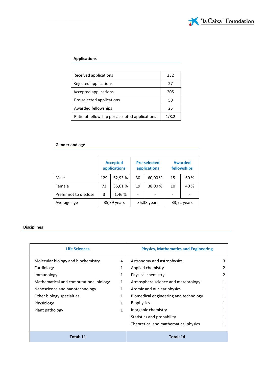#### **Applications**

| Received applications                         | 232   |
|-----------------------------------------------|-------|
| Rejected applications                         | 27    |
| Accepted applications                         | 205   |
| Pre-selected applications                     | 50    |
| Awarded fellowships                           | 25    |
| Ratio of fellowship per accepted applications | 1/8,2 |

## **Gender and age**

|                        | <b>Accepted</b><br>applications |        | <b>Pre-selected</b><br>applications |         | <b>Awarded</b><br>fellowships |      |
|------------------------|---------------------------------|--------|-------------------------------------|---------|-------------------------------|------|
| Male                   | 129                             | 62,93% | 30                                  | 60,00 % | 15                            | 60 % |
| Female                 | 73                              | 35,61% | 19                                  | 38,00 % | 10                            | 40 % |
| Prefer not to disclose | 3                               | 1,46 % |                                     |         |                               |      |
| Average age            | 35,39 years                     |        | 35,38 years                         |         | 33,72 years                   |      |

## **Disciplines**

| <b>Life Sciences</b>                   |   | <b>Physics, Mathematics and Engineering</b> |   |  |
|----------------------------------------|---|---------------------------------------------|---|--|
| Molecular biology and biochemistry     | 4 | Astronomy and astrophysics                  | 3 |  |
| Cardiology                             | 1 | Applied chemistry                           |   |  |
| Immunology                             | 1 | Physical chemistry                          | 2 |  |
| Mathematical and computational biology | 1 | Atmosphere science and meteorology          |   |  |
| Nanoscience and nanotechnology         | 1 | Atomic and nuclear physics                  |   |  |
| Other biology specialties              |   | Biomedical engineering and technology       |   |  |
| Physiology                             |   | <b>Biophysics</b>                           |   |  |
| Plant pathology                        | 1 | Inorganic chemistry                         |   |  |
|                                        |   | Statistics and probability                  | 1 |  |
|                                        |   | Theoretical and mathematical physics        |   |  |
| Total: 11                              |   | Total: 14                                   |   |  |